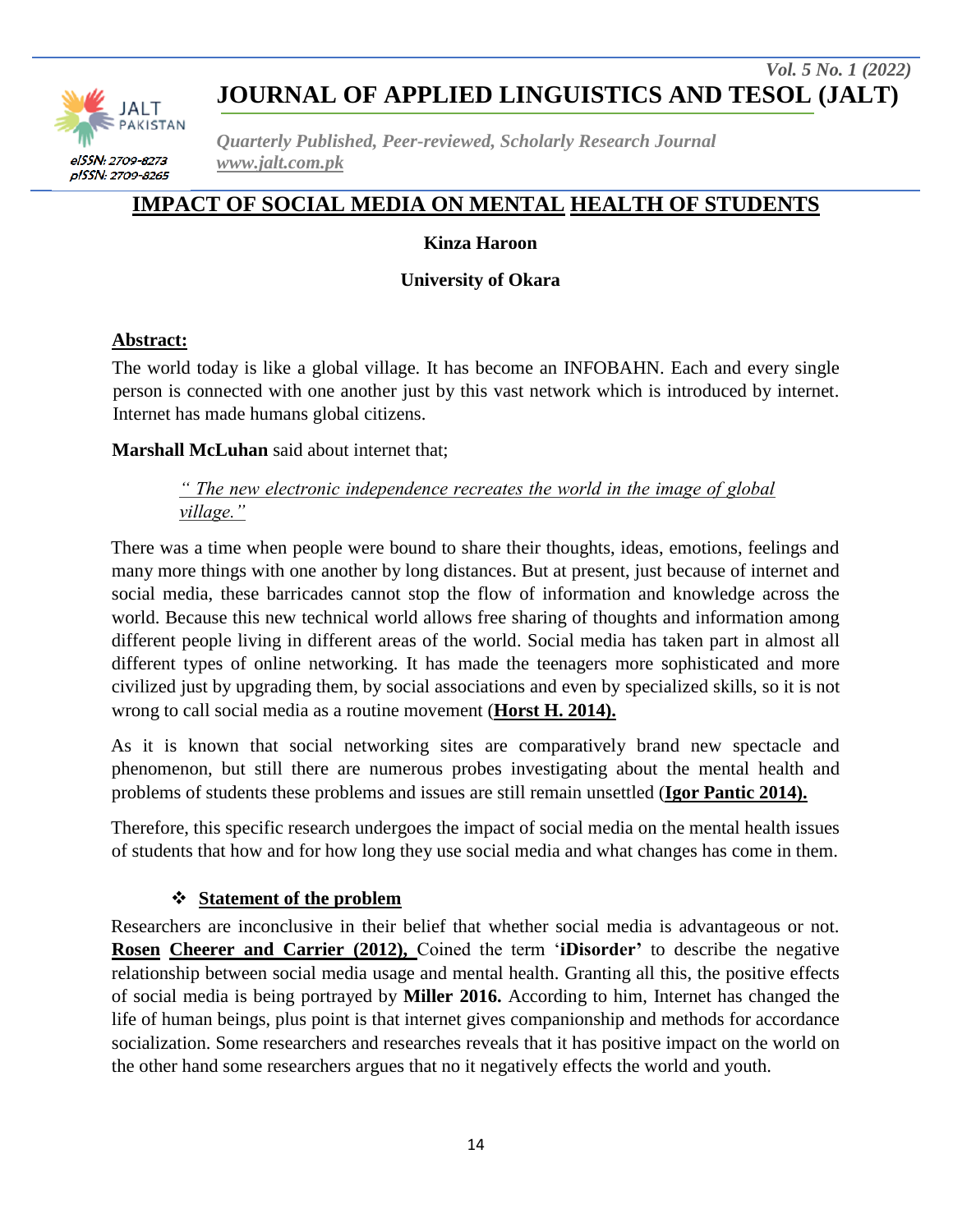

*Quarterly Published, Peer-reviewed, Scholarly Research Journal www.jalt.com.pk*

# **IMPACT OF SOCIAL MEDIA ON MENTAL HEALTH OF STUDENTS**

#### **Kinza Haroon**

**University of Okara**

#### **Abstract:**

The world today is like a global village. It has become an INFOBAHN. Each and every single person is connected with one another just by this vast network which is introduced by internet. Internet has made humans global citizens.

#### **Marshall McLuhan** said about internet that;

*" The new electronic independence recreates the world in the image of global village."*

There was a time when people were bound to share their thoughts, ideas, emotions, feelings and many more things with one another by long distances. But at present, just because of internet and social media, these barricades cannot stop the flow of information and knowledge across the world. Because this new technical world allows free sharing of thoughts and information among different people living in different areas of the world. Social media has taken part in almost all different types of online networking. It has made the teenagers more sophisticated and more civilized just by upgrading them, by social associations and even by specialized skills, so it is not wrong to call social media as a routine movement (**Horst H. 2014).**

As it is known that social networking sites are comparatively brand new spectacle and phenomenon, but still there are numerous probes investigating about the mental health and problems of students these problems and issues are still remain unsettled (**Igor Pantic 2014).**

Therefore, this specific research undergoes the impact of social media on the mental health issues of students that how and for how long they use social media and what changes has come in them.

#### **Statement of the problem**

Researchers are inconclusive in their belief that whether social media is advantageous or not. **Rosen Cheerer and Carrier (2012),** Coined the term "**iDisorder'** to describe the negative relationship between social media usage and mental health. Granting all this, the positive effects of social media is being portrayed by **Miller 2016.** According to him, Internet has changed the life of human beings, plus point is that internet gives companionship and methods for accordance socialization. Some researchers and researches reveals that it has positive impact on the world on the other hand some researchers argues that no it negatively effects the world and youth.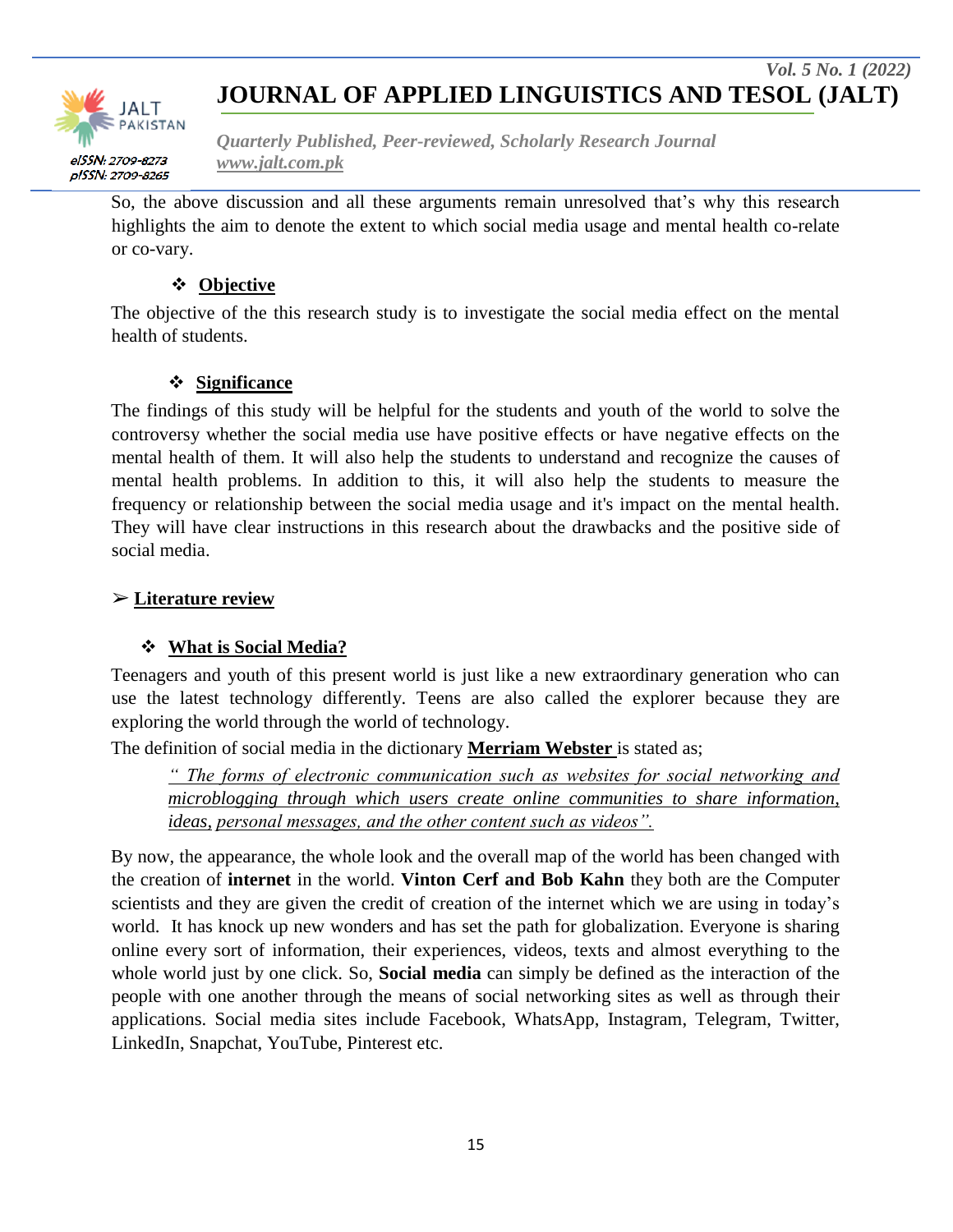

*Quarterly Published, Peer-reviewed, Scholarly Research Journal www.jalt.com.pk*

So, the above discussion and all these arguments remain unresolved that's why this research highlights the aim to denote the extent to which social media usage and mental health co-relate or co-vary.

### **Objective**

The objective of the this research study is to investigate the social media effect on the mental health of students.

### **Significance**

The findings of this study will be helpful for the students and youth of the world to solve the controversy whether the social media use have positive effects or have negative effects on the mental health of them. It will also help the students to understand and recognize the causes of mental health problems. In addition to this, it will also help the students to measure the frequency or relationship between the social media usage and it's impact on the mental health. They will have clear instructions in this research about the drawbacks and the positive side of social media.

#### ➢ **Literature review**

### **What is Social Media?**

Teenagers and youth of this present world is just like a new extraordinary generation who can use the latest technology differently. Teens are also called the explorer because they are exploring the world through the world of technology.

The definition of social media in the dictionary **Merriam Webster** is stated as;

*" The forms of electronic communication such as websites for social networking and microblogging through which users create online communities to share information, ideas, personal messages, and the other content such as videos".*

By now, the appearance, the whole look and the overall map of the world has been changed with the creation of **internet** in the world. **Vinton Cerf and Bob Kahn** they both are the Computer scientists and they are given the credit of creation of the internet which we are using in today's world. It has knock up new wonders and has set the path for globalization. Everyone is sharing online every sort of information, their experiences, videos, texts and almost everything to the whole world just by one click. So, **Social media** can simply be defined as the interaction of the people with one another through the means of social networking sites as well as through their applications. Social media sites include Facebook, WhatsApp, Instagram, Telegram, Twitter, LinkedIn, Snapchat, YouTube, Pinterest etc.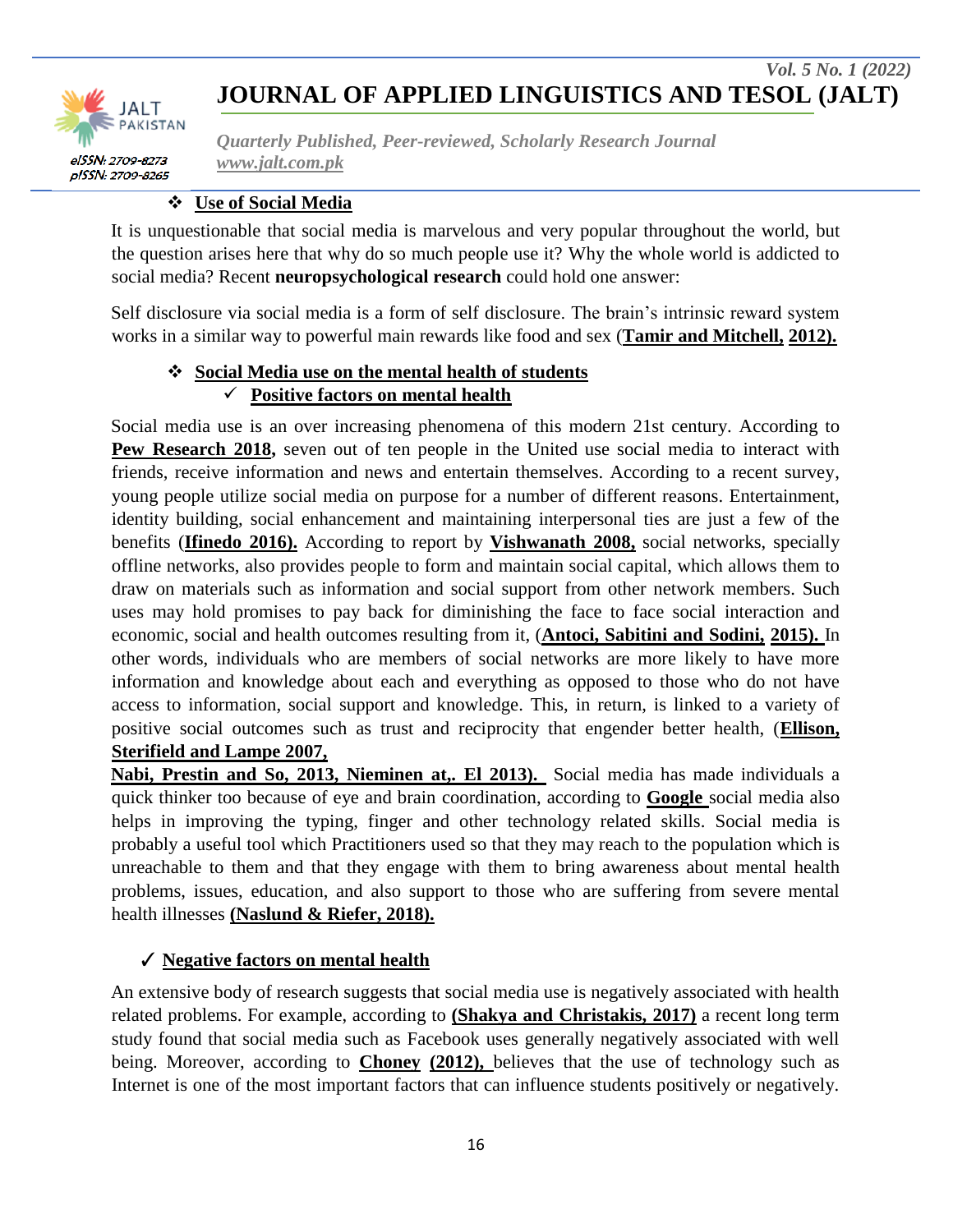



*Quarterly Published, Peer-reviewed, Scholarly Research Journal www.jalt.com.pk*

#### **Use of Social Media**

It is unquestionable that social media is marvelous and very popular throughout the world, but the question arises here that why do so much people use it? Why the whole world is addicted to social media? Recent **neuropsychological research** could hold one answer:

Self disclosure via social media is a form of self disclosure. The brain"s intrinsic reward system works in a similar way to powerful main rewards like food and sex (**Tamir and Mitchell, 2012).**

### **Social Media use on the mental health of students Positive factors on mental health**

Social media use is an over increasing phenomena of this modern 21st century. According to **Pew Research 2018,** seven out of ten people in the United use social media to interact with friends, receive information and news and entertain themselves. According to a recent survey, young people utilize social media on purpose for a number of different reasons. Entertainment, identity building, social enhancement and maintaining interpersonal ties are just a few of the benefits (**Ifinedo 2016).** According to report by **Vishwanath 2008,** social networks, specially offline networks, also provides people to form and maintain social capital, which allows them to draw on materials such as information and social support from other network members. Such uses may hold promises to pay back for diminishing the face to face social interaction and economic, social and health outcomes resulting from it, (**Antoci, Sabitini and Sodini, 2015).** In other words, individuals who are members of social networks are more likely to have more information and knowledge about each and everything as opposed to those who do not have access to information, social support and knowledge. This, in return, is linked to a variety of positive social outcomes such as trust and reciprocity that engender better health, (**Ellison, Sterifield and Lampe 2007,**

**Nabi, Prestin and So, 2013, Nieminen at,. El 2013).** Social media has made individuals a quick thinker too because of eye and brain coordination, according to **Google** social media also helps in improving the typing, finger and other technology related skills. Social media is probably a useful tool which Practitioners used so that they may reach to the population which is unreachable to them and that they engage with them to bring awareness about mental health problems, issues, education, and also support to those who are suffering from severe mental health illnesses **(Naslund & Riefer, 2018).**

#### ✓ **Negative factors on mental health**

An extensive body of research suggests that social media use is negatively associated with health related problems. For example, according to **(Shakya and Christakis, 2017)** a recent long term study found that social media such as Facebook uses generally negatively associated with well being. Moreover, according to **Choney (2012),** believes that the use of technology such as Internet is one of the most important factors that can influence students positively or negatively.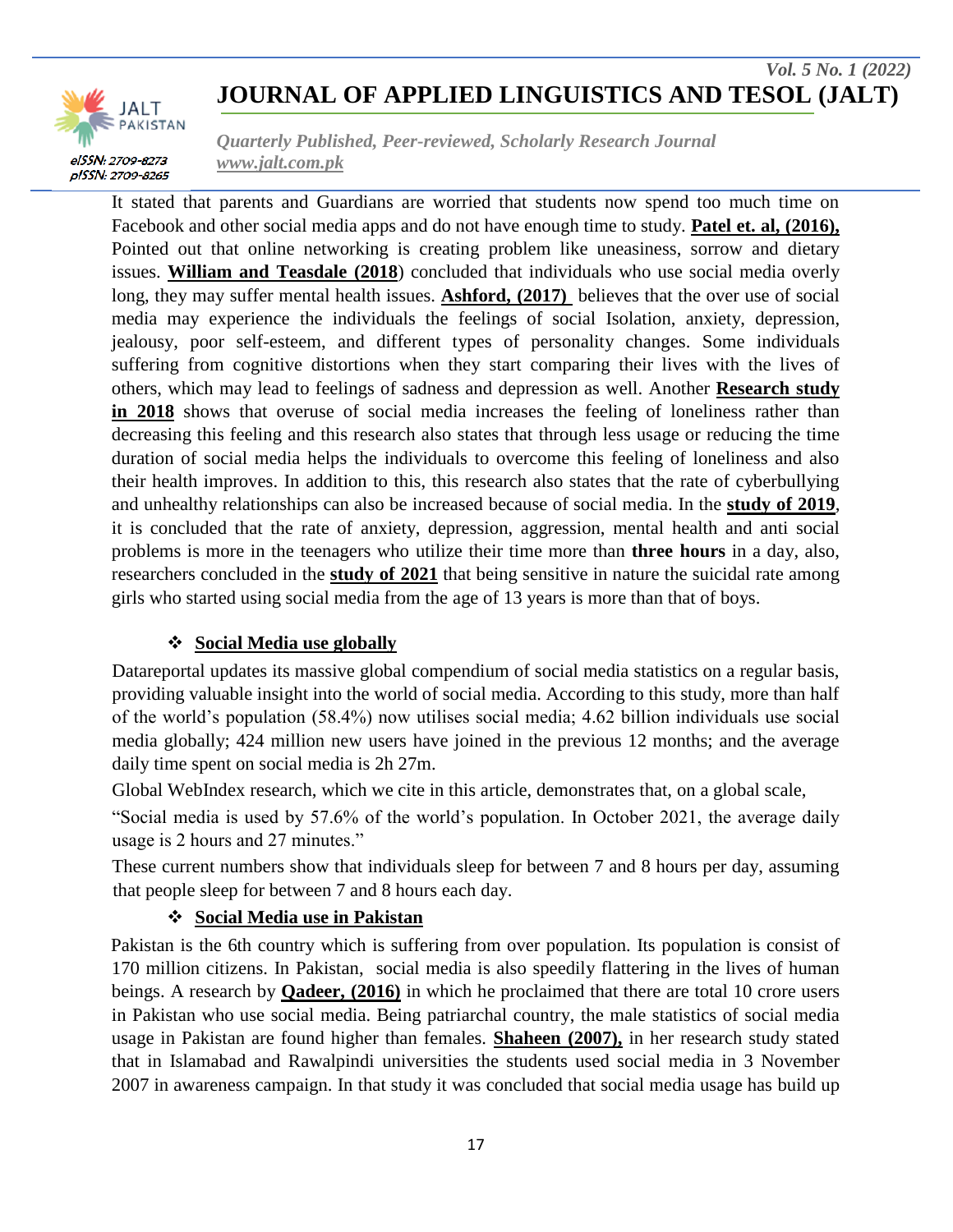

*Quarterly Published, Peer-reviewed, Scholarly Research Journal www.jalt.com.pk*

It stated that parents and Guardians are worried that students now spend too much time on Facebook and other social media apps and do not have enough time to study. **Patel et. al, (2016),**  Pointed out that online networking is creating problem like uneasiness, sorrow and dietary issues. **William and Teasdale (2018**) concluded that individuals who use social media overly long, they may suffer mental health issues. **Ashford, (2017)** believes that the over use of social media may experience the individuals the feelings of social Isolation, anxiety, depression, jealousy, poor self-esteem, and different types of personality changes. Some individuals suffering from cognitive distortions when they start comparing their lives with the lives of others, which may lead to feelings of sadness and depression as well. Another **Research study in 2018** shows that overuse of social media increases the feeling of loneliness rather than decreasing this feeling and this research also states that through less usage or reducing the time duration of social media helps the individuals to overcome this feeling of loneliness and also their health improves. In addition to this, this research also states that the rate of cyberbullying and unhealthy relationships can also be increased because of social media. In the **study of 2019**, it is concluded that the rate of anxiety, depression, aggression, mental health and anti social problems is more in the teenagers who utilize their time more than **three hours** in a day, also, researchers concluded in the **study of 2021** that being sensitive in nature the suicidal rate among girls who started using social media from the age of 13 years is more than that of boys.

#### **Social Media use globally**

Datareportal updates its massive global compendium of social media statistics on a regular basis, providing valuable insight into the world of social media. According to this study, more than half of the world"s population (58.4%) now utilises social media; 4.62 billion individuals use social media globally; 424 million new users have joined in the previous 12 months; and the average daily time spent on social media is 2h 27m.

Global WebIndex research, which we cite in this article, demonstrates that, on a global scale,

"Social media is used by 57.6% of the world"s population. In October 2021, the average daily usage is 2 hours and 27 minutes."

These current numbers show that individuals sleep for between 7 and 8 hours per day, assuming that people sleep for between 7 and 8 hours each day.

#### **Social Media use in Pakistan**

Pakistan is the 6th country which is suffering from over population. Its population is consist of 170 million citizens. In Pakistan, social media is also speedily flattering in the lives of human beings. A research by **Qadeer, (2016)** in which he proclaimed that there are total 10 crore users in Pakistan who use social media. Being patriarchal country, the male statistics of social media usage in Pakistan are found higher than females. **Shaheen (2007),** in her research study stated that in Islamabad and Rawalpindi universities the students used social media in 3 November 2007 in awareness campaign. In that study it was concluded that social media usage has build up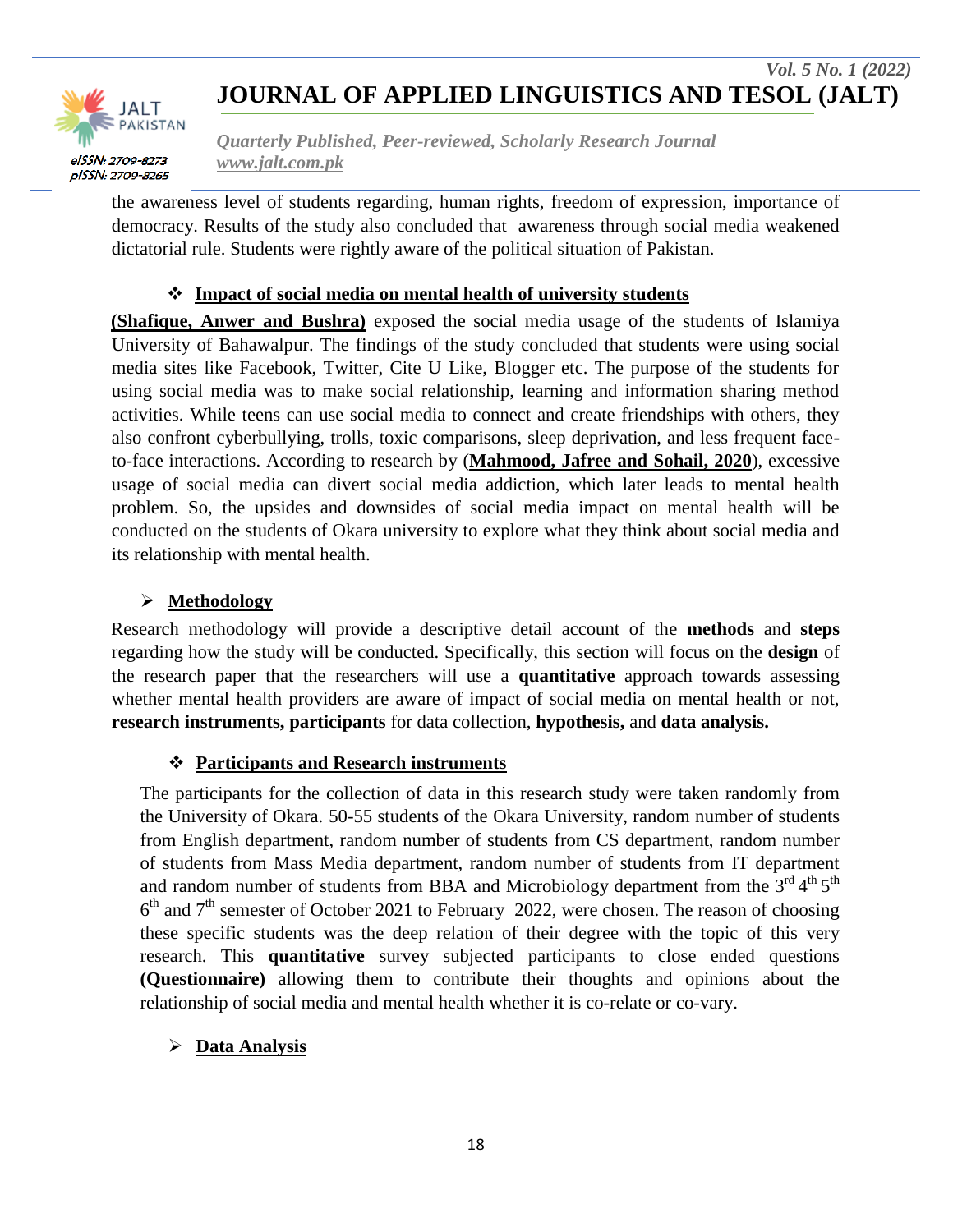

*Quarterly Published, Peer-reviewed, Scholarly Research Journal www.jalt.com.pk*

the awareness level of students regarding, human rights, freedom of expression, importance of democracy. Results of the study also concluded that awareness through social media weakened dictatorial rule. Students were rightly aware of the political situation of Pakistan.

#### **Impact of social media on mental health of university students**

**(Shafique, Anwer and Bushra)** exposed the social media usage of the students of Islamiya University of Bahawalpur. The findings of the study concluded that students were using social media sites like Facebook, Twitter, Cite U Like, Blogger etc. The purpose of the students for using social media was to make social relationship, learning and information sharing method activities. While teens can use social media to connect and create friendships with others, they also confront cyberbullying, trolls, toxic comparisons, sleep deprivation, and less frequent faceto-face interactions. According to research by (**Mahmood, Jafree and Sohail, 2020**), excessive usage of social media can divert social media addiction, which later leads to mental health problem. So, the upsides and downsides of social media impact on mental health will be conducted on the students of Okara university to explore what they think about social media and its relationship with mental health.

### **Methodology**

Research methodology will provide a descriptive detail account of the **methods** and **steps** regarding how the study will be conducted. Specifically, this section will focus on the **design** of the research paper that the researchers will use a **quantitative** approach towards assessing whether mental health providers are aware of impact of social media on mental health or not, **research instruments, participants** for data collection, **hypothesis,** and **data analysis.**

#### **Participants and Research instruments**

The participants for the collection of data in this research study were taken randomly from the University of Okara. 50-55 students of the Okara University, random number of students from English department, random number of students from CS department, random number of students from Mass Media department, random number of students from IT department and random number of students from BBA and Microbiology department from the  $3^{\text{rd}}4^{\text{th}}5^{\text{th}}$  $6<sup>th</sup>$  and  $7<sup>th</sup>$  semester of October 2021 to February 2022, were chosen. The reason of choosing these specific students was the deep relation of their degree with the topic of this very research. This **quantitative** survey subjected participants to close ended questions **(Questionnaire)** allowing them to contribute their thoughts and opinions about the relationship of social media and mental health whether it is co-relate or co-vary.

#### **Data Analysis**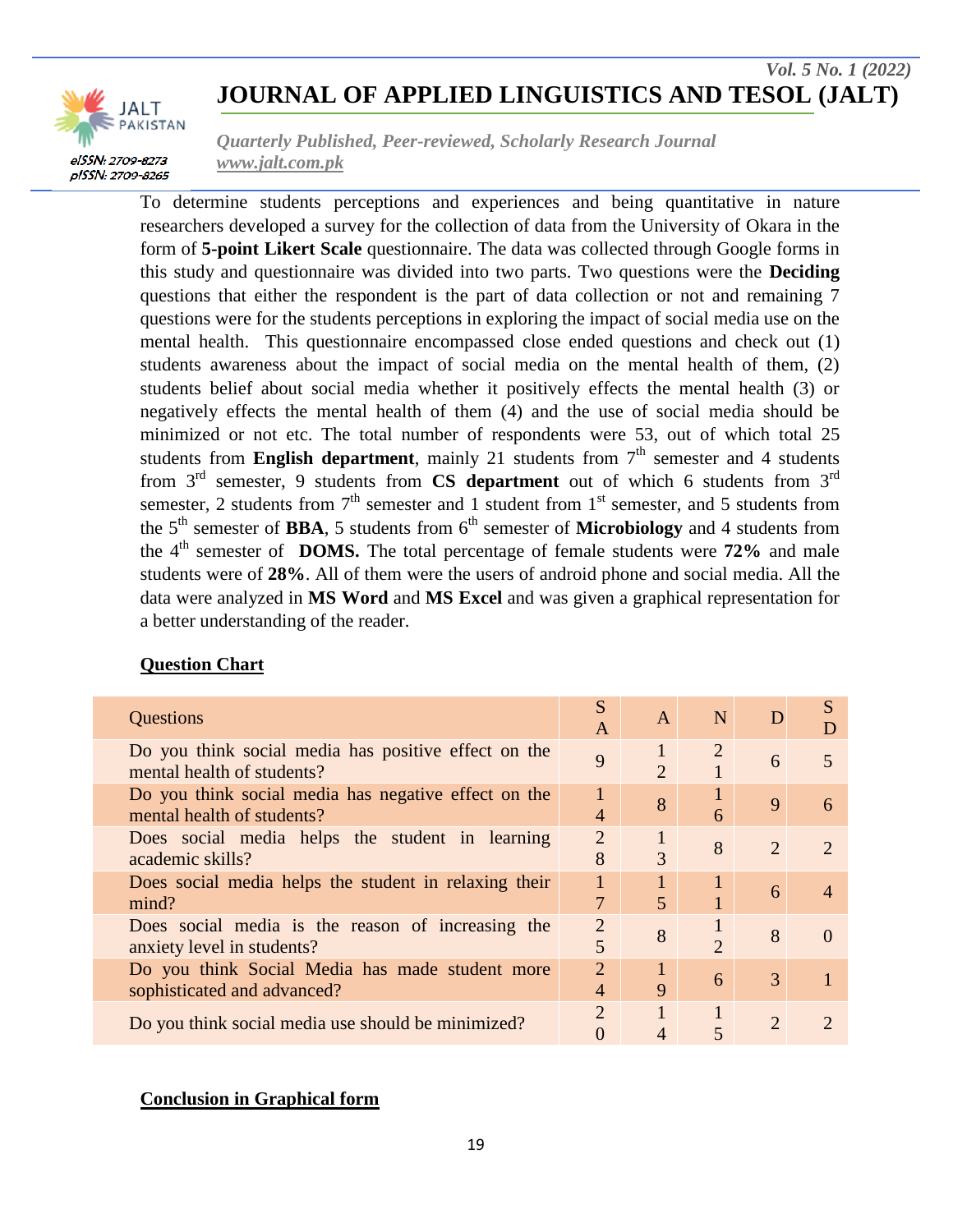

*Quarterly Published, Peer-reviewed, Scholarly Research Journal www.jalt.com.pk*

To determine students perceptions and experiences and being quantitative in nature researchers developed a survey for the collection of data from the University of Okara in the form of **5-point Likert Scale** questionnaire. The data was collected through Google forms in this study and questionnaire was divided into two parts. Two questions were the **Deciding** questions that either the respondent is the part of data collection or not and remaining 7 questions were for the students perceptions in exploring the impact of social media use on the mental health. This questionnaire encompassed close ended questions and check out (1) students awareness about the impact of social media on the mental health of them, (2) students belief about social media whether it positively effects the mental health (3) or negatively effects the mental health of them (4) and the use of social media should be minimized or not etc. The total number of respondents were 53, out of which total 25 students from **English department**, mainly 21 students from  $7<sup>th</sup>$  semester and 4 students from 3<sup>rd</sup> semester, 9 students from **CS department** out of which 6 students from 3<sup>rd</sup> semester, 2 students from  $7<sup>th</sup>$  semester and 1 student from  $1<sup>st</sup>$  semester, and 5 students from the 5<sup>th</sup> semester of **BBA**, 5 students from 6<sup>th</sup> semester of **Microbiology** and 4 students from the 4th semester of **DOMS.** The total percentage of female students were **72%** and male students were of **28%**. All of them were the users of android phone and social media. All the data were analyzed in **MS Word** and **MS Excel** and was given a graphical representation for a better understanding of the reader.

#### **Question Chart**

| Questions                                                                          | S<br>A              | A                           | N                           |                             |                             |
|------------------------------------------------------------------------------------|---------------------|-----------------------------|-----------------------------|-----------------------------|-----------------------------|
| Do you think social media has positive effect on the<br>mental health of students? | 9                   | $\mathcal{D}_{\mathcal{L}}$ | 2                           | 6                           | 5                           |
| Do you think social media has negative effect on the<br>mental health of students? | $\mathbf{1}$<br>4   | 8                           | 6                           | $\mathbf{Q}$                | 6                           |
| Does social media helps the student in learning<br>academic skills?                | $\overline{2}$<br>8 | 3                           | 8                           | $\overline{2}$              | $\mathcal{D}_{\mathcal{A}}$ |
| Does social media helps the student in relaxing their<br>mind?                     | $\mathbf{1}$<br>7   | $\mathbf{1}$<br>5           |                             | 6                           | $\overline{4}$              |
| Does social media is the reason of increasing the<br>anxiety level in students?    | $\overline{2}$<br>5 | 8                           | $\mathcal{D}_{\mathcal{A}}$ | 8                           | $\Omega$                    |
| Do you think Social Media has made student more<br>sophisticated and advanced?     | $\overline{2}$<br>4 | 9                           | 6                           | 3                           |                             |
| Do you think social media use should be minimized?                                 | $\overline{2}$      | 1                           |                             | $\mathcal{D}_{\mathcal{A}}$ |                             |

#### **Conclusion in Graphical form**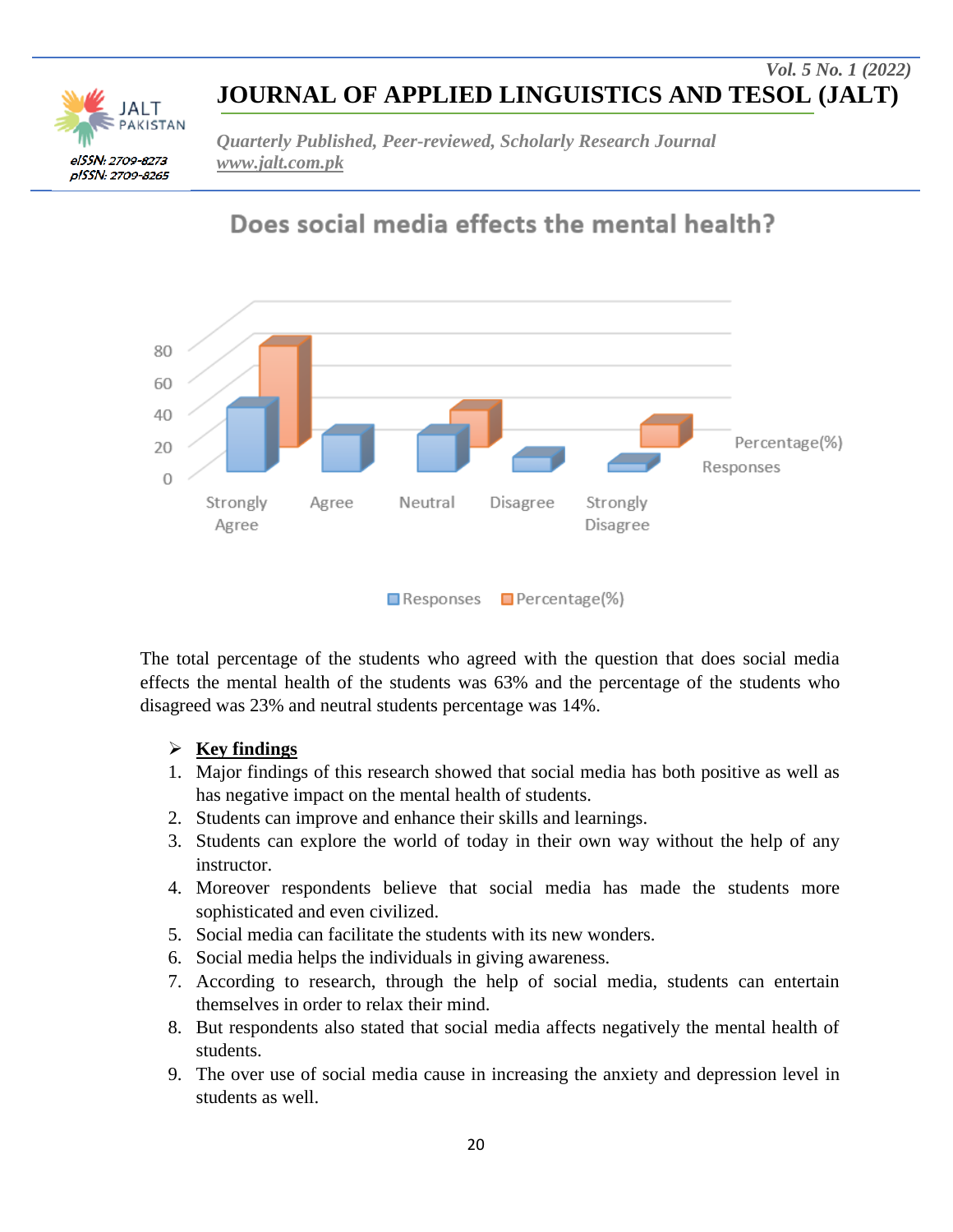elSSN: 2709-8273 pISSN: 2709-8265 *Quarterly Published, Peer-reviewed, Scholarly Research Journal www.jalt.com.pk*

Does social media effects the mental health?



The total percentage of the students who agreed with the question that does social media effects the mental health of the students was 63% and the percentage of the students who disagreed was 23% and neutral students percentage was 14%.

### **Key findings**

- 1. Major findings of this research showed that social media has both positive as well as has negative impact on the mental health of students.
- 2. Students can improve and enhance their skills and learnings.
- 3. Students can explore the world of today in their own way without the help of any instructor.
- 4. Moreover respondents believe that social media has made the students more sophisticated and even civilized.
- 5. Social media can facilitate the students with its new wonders.
- 6. Social media helps the individuals in giving awareness.
- 7. According to research, through the help of social media, students can entertain themselves in order to relax their mind.
- 8. But respondents also stated that social media affects negatively the mental health of students.
- 9. The over use of social media cause in increasing the anxiety and depression level in students as well.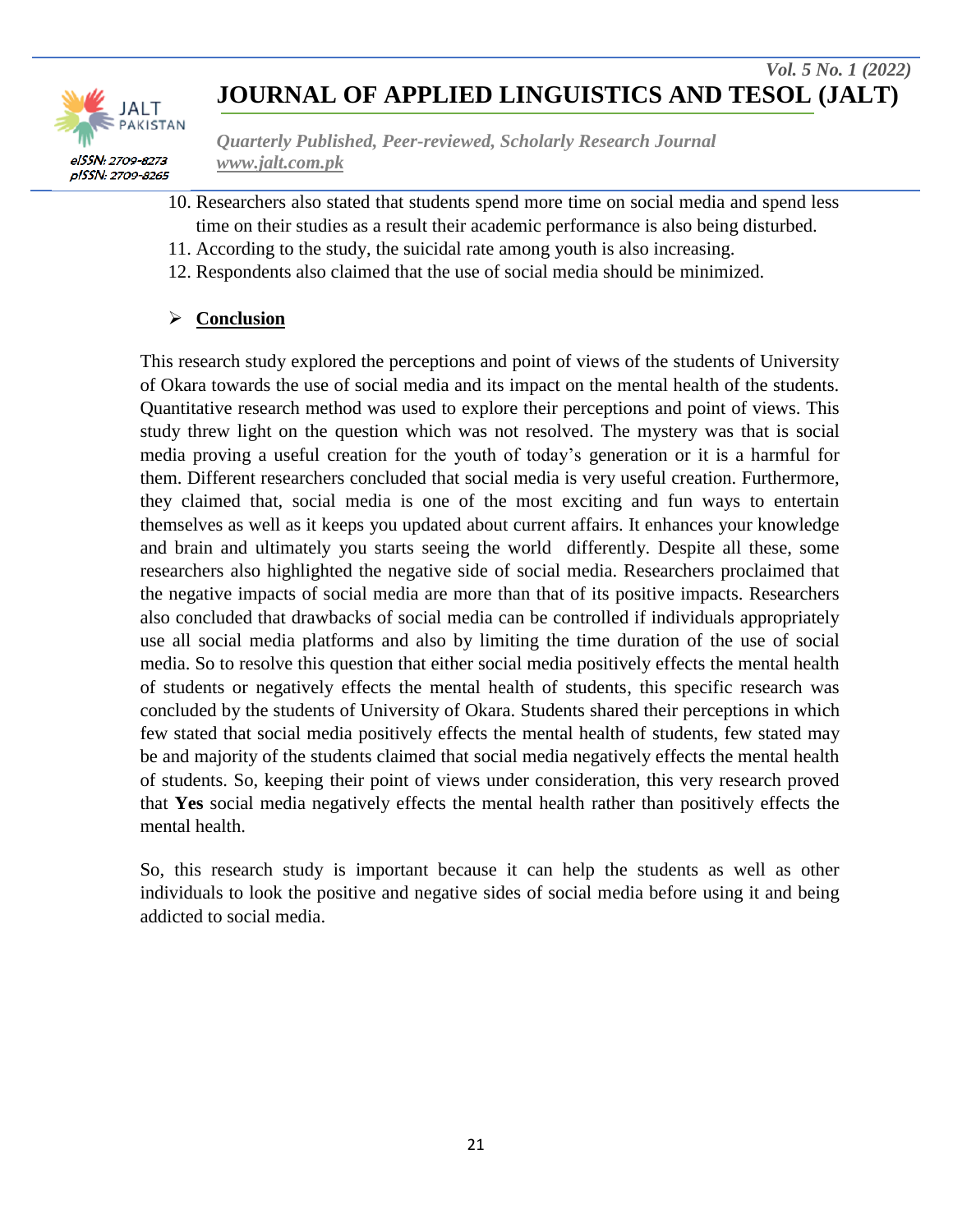

*Quarterly Published, Peer-reviewed, Scholarly Research Journal www.jalt.com.pk*

- 10. Researchers also stated that students spend more time on social media and spend less time on their studies as a result their academic performance is also being disturbed.
- 11. According to the study, the suicidal rate among youth is also increasing.
- 12. Respondents also claimed that the use of social media should be minimized.

### **Conclusion**

This research study explored the perceptions and point of views of the students of University of Okara towards the use of social media and its impact on the mental health of the students. Quantitative research method was used to explore their perceptions and point of views. This study threw light on the question which was not resolved. The mystery was that is social media proving a useful creation for the youth of today"s generation or it is a harmful for them. Different researchers concluded that social media is very useful creation. Furthermore, they claimed that, social media is one of the most exciting and fun ways to entertain themselves as well as it keeps you updated about current affairs. It enhances your knowledge and brain and ultimately you starts seeing the world differently. Despite all these, some researchers also highlighted the negative side of social media. Researchers proclaimed that the negative impacts of social media are more than that of its positive impacts. Researchers also concluded that drawbacks of social media can be controlled if individuals appropriately use all social media platforms and also by limiting the time duration of the use of social media. So to resolve this question that either social media positively effects the mental health of students or negatively effects the mental health of students, this specific research was concluded by the students of University of Okara. Students shared their perceptions in which few stated that social media positively effects the mental health of students, few stated may be and majority of the students claimed that social media negatively effects the mental health of students. So, keeping their point of views under consideration, this very research proved that **Yes** social media negatively effects the mental health rather than positively effects the mental health.

So, this research study is important because it can help the students as well as other individuals to look the positive and negative sides of social media before using it and being addicted to social media.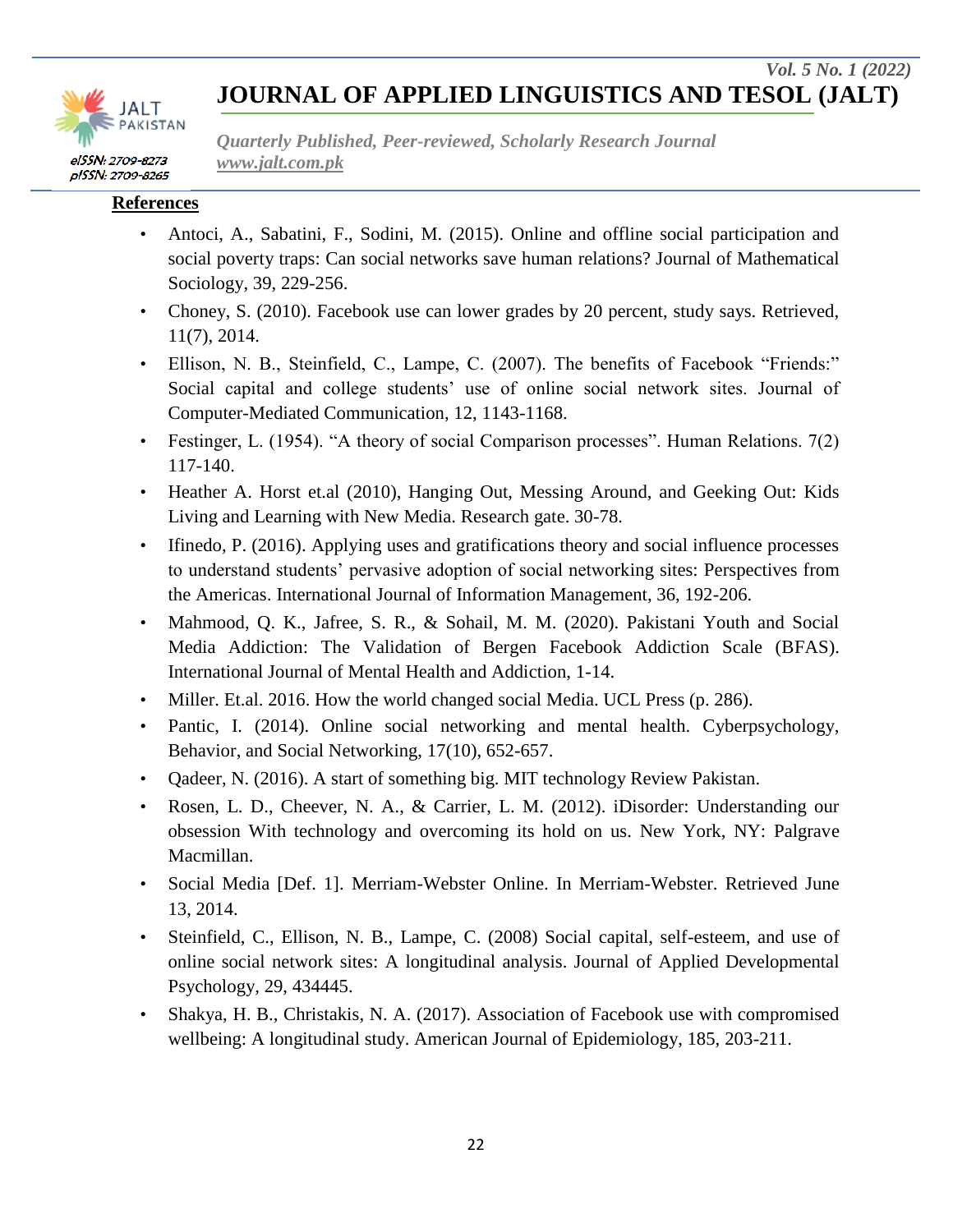

*Quarterly Published, Peer-reviewed, Scholarly Research Journal www.jalt.com.pk*

#### **References**

- Antoci, A., Sabatini, F., Sodini, M. (2015). Online and offline social participation and social poverty traps: Can social networks save human relations? Journal of Mathematical Sociology, 39, 229-256.
- Choney, S. (2010). Facebook use can lower grades by 20 percent, study says. Retrieved, 11(7), 2014.
- Ellison, N. B., Steinfield, C., Lampe, C. (2007). The benefits of Facebook "Friends:" Social capital and college students' use of online social network sites. Journal of Computer-Mediated Communication, 12, 1143-1168.
- Festinger, L. (1954). "A theory of social Comparison processes". Human Relations. 7(2) 117-140.
- Heather A. Horst et.al (2010), Hanging Out, Messing Around, and Geeking Out: Kids Living and Learning with New Media. Research gate. 30-78.
- Ifinedo, P. (2016). Applying uses and gratifications theory and social influence processes to understand students" pervasive adoption of social networking sites: Perspectives from the Americas. International Journal of Information Management, 36, 192-206.
- Mahmood, Q. K., Jafree, S. R., & Sohail, M. M. (2020). Pakistani Youth and Social Media Addiction: The Validation of Bergen Facebook Addiction Scale (BFAS). International Journal of Mental Health and Addiction, 1-14.
- Miller. Et.al. 2016. How the world changed social Media. UCL Press (p. 286).
- Pantic, I. (2014). Online social networking and mental health. Cyberpsychology, Behavior, and Social Networking, 17(10), 652-657.
- Qadeer, N. (2016). A start of something big. MIT technology Review Pakistan.
- Rosen, L. D., Cheever, N. A., & Carrier, L. M. (2012). iDisorder: Understanding our obsession With technology and overcoming its hold on us. New York, NY: Palgrave Macmillan.
- Social Media [Def. 1]. Merriam-Webster Online. In Merriam-Webster. Retrieved June 13, 2014.
- Steinfield, C., Ellison, N. B., Lampe, C. (2008) Social capital, self-esteem, and use of online social network sites: A longitudinal analysis. Journal of Applied Developmental Psychology, 29, 434445.
- Shakya, H. B., Christakis, N. A. (2017). Association of Facebook use with compromised wellbeing: A longitudinal study. American Journal of Epidemiology, 185, 203-211.